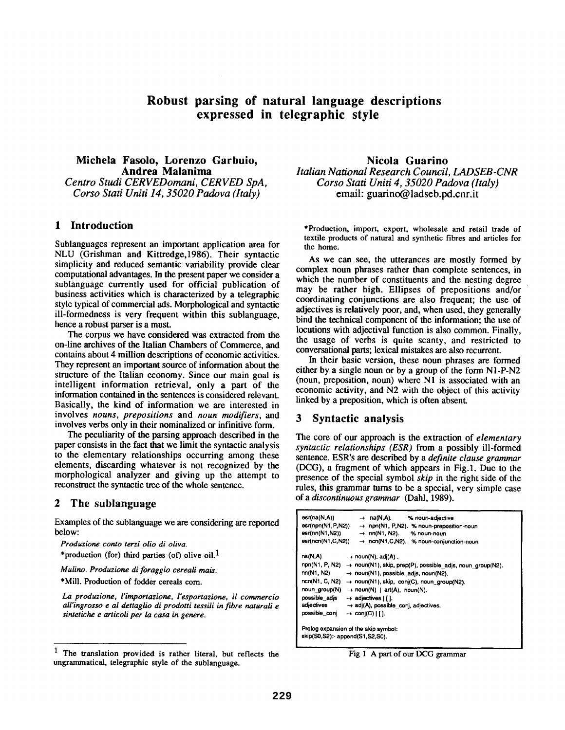# **Robust parsing of natural language descriptions expressed in telegraphic style**

### **Michela Fasolo, Lorenzo Garbuio, Andrea Malanima**  *Centro Studi CERVEDomani, CERVED SpA, Corso Stati Uniti 14, 35020 Padova (Italy)*

#### **1 Introduction**

Sublanguages represent an important application area for NLU (Grishman and Kittredge,1986). Their syntactic simplicity and reduced semantic variability provide clear computational advantages. In the present paper we consider a sublanguage currently used for official publication of business activities which is characterized by a telegraphic style typical of commercial ads. Morphological and syntactic ill-formedness is very frequent within this sublanguage, hence a robust parser is a must.

The corpus we have considered was extracted from the on-line archives of the Italian Chambers of Commerce, and contains about 4 million descriptions of economic activities. They represent an important source of information about the structure of the Italian economy. Since our main goal is intelligent information retrieval, only a part of the information contained in the sentences is considered relevant. Basically, the kind of information we are interested in involves *nouns, prepositions* and *noun modifiers, and*  involves verbs only in their nominalized or infinitive form.

The peculiarity of the parsing approach described in the paper consists in the fact that we limit the syntactic analysis to the elementary relationships occurring among these elements, discarding whatever is not recognized by the morphological analyzer and giving up the attempt to reconstruct the syntactic tree of the whole sentence.

#### **2 The sublanguage**

Examples of the sublanguage we are considering are reported below:

*Produzione conto terzi olio di oliva.*  \*production (for) third parties (of) olive oil.<sup>1</sup>

*Mulino. Produzione di foraggio cereali mais.* 

\*Mill. Production of fodder cereals com.

*La produzione, l'importazione, l'esportazione, il commercio all'ingrosso e al dettaglio di prodotti tessili in fibre naturali e sintetiche e articoli per la casa in genere.* 

**Nicola Guarino**  *Italian National Research Council, LADSEB-CNR Corso Stati Uniti 4, 35020 Padova (Italy)*  email: guarino@ ladseb.pd.cnr.it

\*Production, import, export, wholesale and retail trade of **textile** products of natural and synthetic fibres and articles for the home.

As we can see, the utterances are mostly formed by complex noun phrases rather than complete sentences, in which the number of constituents and the nesting degree may be rather high. Ellipses of prepositions and/or coordinating conjunctions are also frequent; the use of adjectives is relatively poor, and, when used, they generally bind the technical component of the information; the use of locutions with adjectival function is also common. Finally, the usage of verbs is quite scanty, and restricted to conversational parts; lexical mistakes are also recurrent.

In their basic version, these noun phrases are formed either by a single noun or by a group of the form NI-P-N2 (noun, preposition, noun) where N1 is associated with an economic activity, and N2 with the object of this activity linked by a preposition, which is often absent.

#### **3** Syntactic analysis

The core of our approach is the extraction of *elementary syntactic relationships (ESR)* from a possibly ill-formed sentence. ESR's are described by a *definite clause grammar*  (DCG), a fragment of which appears in Fig.1. Due to the presence of the special symbol *skip* in the right side of the rules, this grammar turns to be a special, very simple case of a *discontinuous grammar* (Dahl, 1989).

| esr(na(N,A))                                                                                                              | $\rightarrow$ na(N,A).                           | % noun-adjective                          |
|---------------------------------------------------------------------------------------------------------------------------|--------------------------------------------------|-------------------------------------------|
| esr(npn(N1,P,N2))                                                                                                         |                                                  | -> npn(N1, P,N2). % noun-preposition-noun |
| esr(nn(N1,N2))                                                                                                            | $\rightarrow$ nn(N1, N2).                        | % noun-noun                               |
| esr(ncn(N1,C,N2))                                                                                                         |                                                  | → ncn(N1,C,N2). % noun-conjunction-noun   |
| na(N,A)                                                                                                                   | $\rightarrow$ noun(N), adj(A).                   |                                           |
| npn(N1, P, N2) → noun(N1), skip, prep(P), possible_adjs, noun_group(N2).                                                  |                                                  |                                           |
| nn(N1, N2)                                                                                                                | $\rightarrow$ noun(N1), possible_adjs, noun(N2). |                                           |
| ncn(N1, C, N2)<br>→ noun(N1), skip, conj(C), noun_group(N2).<br>$\rightarrow$ noun(N)   art(A), noun(N),<br>noun_group(N) |                                                  |                                           |
|                                                                                                                           |                                                  |                                           |
| adjectives<br>$\rightarrow$ adj(A), possible_conj, adjectives.                                                            |                                                  |                                           |
| possible_conj                                                                                                             | $\rightarrow$ conj(C)   [].                      |                                           |
| Prolog expansion of the skip symbol:                                                                                      |                                                  |                                           |
| skip(S0,S2):- append(S1,S2,S0).                                                                                           |                                                  |                                           |

Fig 1 A part of our DCG grammar

<sup>1</sup> The translation provided is rather literal, but reflects the ungrammatical, telegraphic style of the sublanguage.